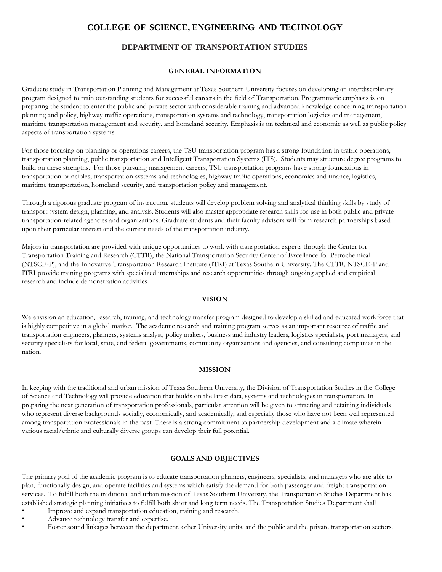# **COLLEGE OF SCIENCE, ENGINEERING AND TECHNOLOGY**

# **DEPARTMENT OF TRANSPORTATION STUDIES**

#### **GENERAL INFORMATION**

Graduate study in Transportation Planning and Management at Texas Southern University focuses on developing an interdisciplinary program designed to train outstanding students for successful careers in the field of Transportation. Programmatic emphasis is on preparing the student to enter the public and private sector with considerable training and advanced knowledge concerning transportation planning and policy, highway traffic operations, transportation systems and technology, transportation logistics and management, maritime transportation management and security, and homeland security. Emphasis is on technical and economic as well as public policy aspects of transportation systems.

For those focusing on planning or operations careers, the TSU transportation program has a strong foundation in traffic operations, transportation planning, public transportation and Intelligent Transportation Systems (ITS). Students may structure degree programs to build on these strengths. For those pursuing management careers, TSU transportation programs have strong foundations in transportation principles, transportation systems and technologies, highway traffic operations, economics and finance, logistics, maritime transportation, homeland security, and transportation policy and management.

Through a rigorous graduate program of instruction, students will develop problem solving and analytical thinking skills by study of transport system design, planning, and analysis. Students will also master appropriate research skills for use in both public and private transportation-related agencies and organizations. Graduate students and their faculty advisors will form research partnerships based upon their particular interest and the current needs of the transportation industry.

Majors in transportation are provided with unique opportunities to work with transportation experts through the Center for Transportation Training and Research (CTTR), the National Transportation Security Center of Excellence for Petrochemical (NTSCE-P), and the Innovative Transportation Research Institute (ITRI) at Texas Southern University. The CTTR, NTSCE-P and ITRI provide training programs with specialized internships and research opportunities through ongoing applied and empirical research and include demonstration activities.

#### **VISION**

We envision an education, research, training, and technology transfer program designed to develop a skilled and educated workforce that is highly competitive in a global market. The academic research and training program serves as an important resource of traffic and transportation engineers, planners, systems analyst, policy makers, business and industry leaders, logistics specialists, port managers, and security specialists for local, state, and federal governments, community organizations and agencies, and consulting companies in the nation.

#### **MISSION**

In keeping with the traditional and urban mission of Texas Southern University, the Division of Transportation Studies in the College of Science and Technology will provide education that builds on the latest data, systems and technologies in transportation. In preparing the next generation of transportation professionals, particular attention will be given to attracting and retaining individuals who represent diverse backgrounds socially, economically, and academically, and especially those who have not been well represented among transportation professionals in the past. There is a strong commitment to partnership development and a climate wherein various racial/ethnic and culturally diverse groups can develop their full potential.

#### **GOALS AND OBJECTIVES**

The primary goal of the academic program is to educate transportation planners, engineers, specialists, and managers who are able to plan, functionally design, and operate facilities and systems which satisfy the demand for both passenger and freight transportation services. To fulfill both the traditional and urban mission of Texas Southern University, the Transportation Studies Department has established strategic planning initiatives to fulfill both short and long term needs. The Transportation Studies Department shall

- Improve and expand transportation education, training and research.
- Advance technology transfer and expertise.
- Foster sound linkages between the department, other University units, and the public and the private transportation sectors.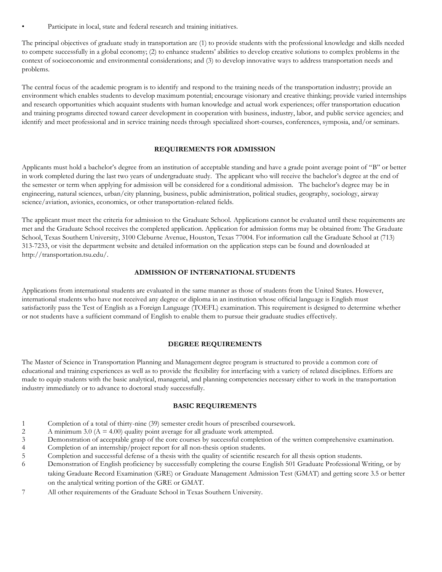Participate in local, state and federal research and training initiatives.

The principal objectives of graduate study in transportation are (1) to provide students with the professional knowledge and skills needed to compete successfully in a global economy; (2) to enhance students' abilities to develop creative solutions to complex problems in the context of socioeconomic and environmental considerations; and (3) to develop innovative ways to address transportation needs and problems.

The central focus of the academic program is to identify and respond to the training needs of the transportation industry; provide an environment which enables students to develop maximum potential; encourage visionary and creative thinking; provide varied internships and research opportunities which acquaint students with human knowledge and actual work experiences; offer transportation education and training programs directed toward career development in cooperation with business, industry, labor, and public service agencies; and identify and meet professional and in service training needs through specialized short-courses, conferences, symposia, and/or seminars.

#### **REQUIREMENTS FOR ADMISSION**

Applicants must hold a bachelor's degree from an institution of acceptable standing and have a grade point average point of "B" or better in work completed during the last two years of undergraduate study. The applicant who will receive the bachelor's degree at the end of the semester or term when applying for admission will be considered for a conditional admission. The bachelor's degree may be in engineering, natural sciences, urban/city planning, business, public administration, political studies, geography, sociology, airway science/aviation, avionics, economics, or other transportation-related fields.

The applicant must meet the criteria for admission to the Graduate School. Applications cannot be evaluated until these requirements are met and the Graduate School receives the completed application. Application for admission forms may be obtained from: The Graduate School, Texas Southern University, 3100 Cleburne Avenue, Houston, Texas 77004. For information call the Graduate School at (713) 313-7233, or visit the department website and detailed information on the application steps can be found and downloaded at http://transportation.tsu.edu/.

#### **ADMISSION OF INTERNATIONAL STUDENTS**

Applications from international students are evaluated in the same manner as those of students from the United States. However, international students who have not received any degree or diploma in an institution whose official language is English must satisfactorily pass the Test of English as a Foreign Language (TOEFL) examination. This requirement is designed to determine whether or not students have a sufficient command of English to enable them to pursue their graduate studies effectively.

# **DEGREE REQUIREMENTS**

The Master of Science in Transportation Planning and Management degree program is structured to provide a common core of educational and training experiences as well as to provide the flexibility for interfacing with a variety of related disciplines. Efforts are made to equip students with the basic analytical, managerial, and planning competencies necessary either to work in the transportation industry immediately or to advance to doctoral study successfully.

# **BASIC REQUIREMENTS**

- 1 Completion of a total of thirty-nine (39) semester credit hours of prescribed coursework.
- 2 A minimum 3.0  $(A = 4.00)$  quality point average for all graduate work attempted.
- 3 Demonstration of acceptable grasp of the core courses by successful completion of the written comprehensive examination.
- 4 Completion of an internship/project report for all non-thesis option students.
- 5 Completion and successful defense of a thesis with the quality of scientific research for all thesis option students.
- 6 Demonstration of English proficiency by successfully completing the course English 501 Graduate Professional Writing, or by taking Graduate Record Examination (GRE) or Graduate Management Admission Test (GMAT) and getting score 3.5 or better on the analytical writing portion of the GRE or GMAT.
- 7 All other requirements of the Graduate School in Texas Southern University.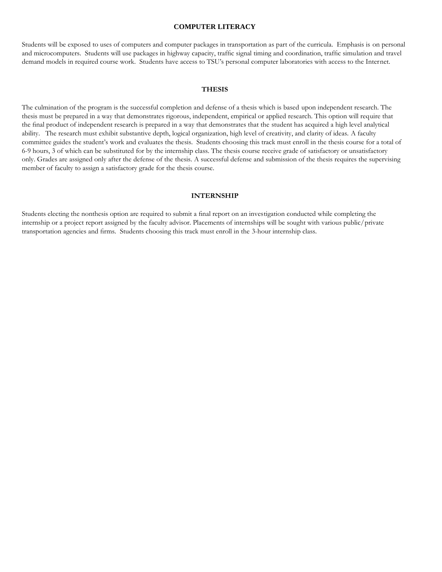#### **COMPUTER LITERACY**

Students will be exposed to uses of computers and computer packages in transportation as part of the curricula. Emphasis is on personal and microcomputers. Students will use packages in highway capacity, traffic signal timing and coordination, traffic simulation and travel demand models in required course work. Students have access to TSU's personal computer laboratories with access to the Internet.

#### **THESIS**

The culmination of the program is the successful completion and defense of a thesis which is based upon independent research. The thesis must be prepared in a way that demonstrates rigorous, independent, empirical or applied research. This option will require that the final product of independent research is prepared in a way that demonstrates that the student has acquired a high level analytical ability. The research must exhibit substantive depth, logical organization, high level of creativity, and clarity of ideas. A faculty committee guides the student's work and evaluates the thesis. Students choosing this track must enroll in the thesis course for a total of 6-9 hours, 3 of which can be substituted for by the internship class. The thesis course receive grade of satisfactory or unsatisfactory only. Grades are assigned only after the defense of the thesis. A successful defense and submission of the thesis requires the supervising member of faculty to assign a satisfactory grade for the thesis course.

#### **INTERNSHIP**

Students electing the nonthesis option are required to submit a final report on an investigation conducted while completing the internship or a project report assigned by the faculty advisor. Placements of internships will be sought with various public/private transportation agencies and firms. Students choosing this track must enroll in the 3-hour internship class.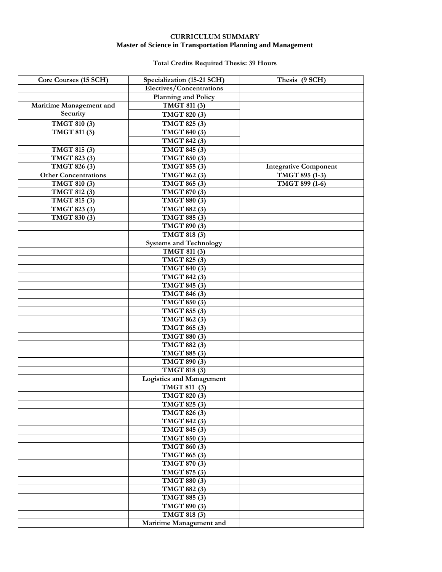# **CURRICULUM SUMMARY Master of Science in Transportation Planning and Management**

# **Total Credits Required Thesis: 39 Hours**

| Core Courses (15 SCH)       | Specialization (15-21 SCH)       | Thesis (9 SCH)               |
|-----------------------------|----------------------------------|------------------------------|
|                             | Electives/Concentrations         |                              |
|                             | <b>Planning and Policy</b>       |                              |
| Maritime Management and     | TMGT 811 (3)                     |                              |
| Security                    | TMGT 820 (3)                     |                              |
| TMGT 810 (3)                | TMGT 825 (3)                     |                              |
| <b>TMGT 811 (3)</b>         | TMGT 840 (3)                     |                              |
|                             | TMGT 842 (3)                     |                              |
| TMGT 815 (3)                | $\overline{\text{TMGT}}$ 845 (3) |                              |
| TMGT 823 (3)                | TMGT 850 (3)                     |                              |
| TMGT 826 (3)                | TMGT 855 (3)                     | <b>Integrative Component</b> |
| <b>Other Concentrations</b> | TMGT 862 (3)                     | TMGT 895 (1-3)               |
| TMGT 810 (3)                | TMGT 865 (3)                     | TMGT 899 (1-6)               |
| TMGT 812 (3)                | TMGT 870 (3)                     |                              |
| TMGT 815 (3)                | TMGT 880 (3)                     |                              |
| TMGT 823 (3)                | TMGT 882 (3)                     |                              |
|                             | TMGT 885 (3)                     |                              |
| TMGT 830 (3)                |                                  |                              |
|                             | TMGT 890 (3)                     |                              |
|                             | TMGT 818 (3)                     |                              |
|                             | <b>Systems and Technology</b>    |                              |
|                             | TMGT 811 (3)                     |                              |
|                             | TMGT 825 (3)                     |                              |
|                             | <b>TMGT 840 (3)</b>              |                              |
|                             | TMGT 842 (3)                     |                              |
|                             | <b>TMGT 845 (3)</b>              |                              |
|                             | <b>TMGT 846 (3)</b>              |                              |
|                             | TMGT 850 (3)                     |                              |
|                             | <b>TMGT 855 (3)</b>              |                              |
|                             | TMGT 862 (3)                     |                              |
|                             | TMGT 865 (3)                     |                              |
|                             | <b>TMGT 880 (3)</b>              |                              |
|                             | TMGT 882 (3)                     |                              |
|                             | TMGT 885 (3)                     |                              |
|                             | <b>TMGT 890 (3)</b>              |                              |
|                             | TMGT 818 (3)                     |                              |
|                             | <b>Logistics and Management</b>  |                              |
|                             | TMGT 811 (3)                     |                              |
|                             | TMGT 820 (3)                     |                              |
|                             | TMGT 825 (3)                     |                              |
|                             | TMGT 826 (3)                     |                              |
|                             | TMGT 842 (3)                     |                              |
|                             | TMGT 845 (3)                     |                              |
|                             | TMGT 850 (3)                     |                              |
|                             | TMGT 860 (3)                     |                              |
|                             | TMGT 865 (3)                     |                              |
|                             | TMGT 870 (3)                     |                              |
|                             | TMGT 875 (3)                     |                              |
|                             | TMGT 880 (3)                     |                              |
|                             | TMGT 882 (3)                     |                              |
|                             | TMGT 885 (3)                     |                              |
|                             | TMGT 890 (3)                     |                              |
|                             | TMGT 818 (3)                     |                              |
|                             | Maritime Management and          |                              |
|                             |                                  |                              |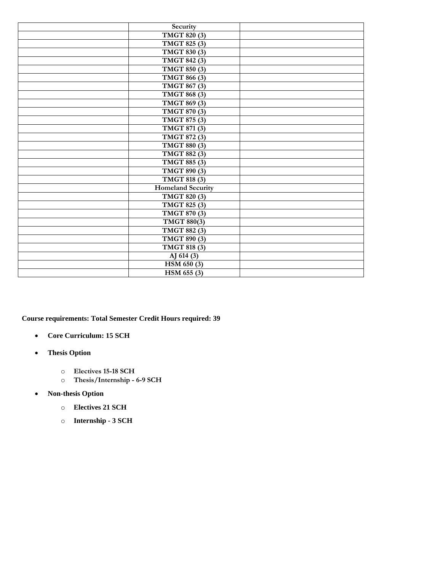| Security                         |  |
|----------------------------------|--|
| TMGT 820 (3)                     |  |
| TMGT 825 (3)                     |  |
| TMGT 830 (3)                     |  |
| TMGT 842 (3)                     |  |
| TMGT 850 (3)                     |  |
| TMGT 866 (3)                     |  |
| <b>TMGT 867 (3)</b>              |  |
| TMGT 868 (3)                     |  |
| $\overline{\text{TMGT 869}}$ (3) |  |
| <b>TMGT 870 (3)</b>              |  |
| <b>TMGT 875 (3)</b>              |  |
| TMGT 871 (3)                     |  |
| TMGT 872 (3)                     |  |
| TMGT 880 (3)                     |  |
| TMGT 882 (3)                     |  |
| TMGT 885 (3)                     |  |
| TMGT 890 (3)                     |  |
| TMGT 818 (3)                     |  |
| Homeland Security                |  |
| TMGT 820 (3)                     |  |
| TMGT 825 (3)                     |  |
| TMGT 870 (3)                     |  |
| TMGT 880(3)                      |  |
| TMGT 882 (3)                     |  |
| TMGT 890 (3)                     |  |
| <b>TMGT 818 (3)</b>              |  |
| AJ 614 (3)                       |  |
| HSM 650 (3)                      |  |
| HSM 655 (3)                      |  |

**Course requirements: Total Semester Credit Hours required: 39** 

- **Core Curriculum: 15 SCH**
- **Thesis Option**
	- o **Electives 15-18 SCH**
	- o **Thesis/Internship - 6-9 SCH**
- **Non-thesis Option** 
	- o **Electives 21 SCH**
	- o **Internship - 3 SCH**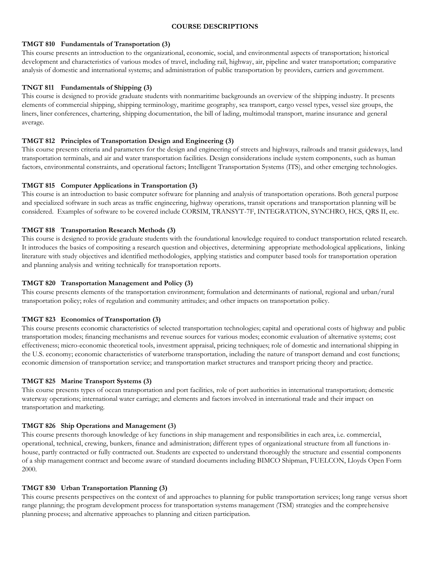#### **COURSE DESCRIPTIONS**

#### **TMGT 810 Fundamentals of Transportation (3)**

This course presents an introduction to the organizational, economic, social, and environmental aspects of transportation; historical development and characteristics of various modes of travel, including rail, highway, air, pipeline and water transportation; comparative analysis of domestic and international systems; and administration of public transportation by providers, carriers and government.

# **TNGT 811 Fundamentals of Shipping (3)**

This course is designed to provide graduate students with nonmaritime backgrounds an overview of the shipping industry. It presents elements of commercial shipping, shipping terminology, maritime geography, sea transport, cargo vessel types, vessel size groups, the liners, liner conferences, chartering, shipping documentation, the bill of lading, multimodal transport, marine insurance and general average.

# **TMGT 812 Principles of Transportation Design and Engineering (3)**

This course presents criteria and parameters for the design and engineering of streets and highways, railroads and transit guideways, land transportation terminals, and air and water transportation facilities. Design considerations include system components, such as human factors, environmental constraints, and operational factors; Intelligent Transportation Systems (ITS), and other emerging technologies.

# **TMGT 815 Computer Applications in Transportation (3)**

This course is an introduction to basic computer software for planning and analysis of transportation operations. Both general purpose and specialized software in such areas as traffic engineering, highway operations, transit operations and transportation planning will be considered. Examples of software to be covered include CORSIM, TRANSYT-7F, INTEGRATION, SYNCHRO, HCS, QRS II, etc.

# **TMGT 818 Transportation Research Methods (3)**

This course is designed to provide graduate students with the foundational knowledge required to conduct transportation related research. It introduces the basics of compositing a research question and objectives, determining appropriate methodological applications, linking literature with study objectives and identified methodologies, applying statistics and computer based tools for transportation operation and planning analysis and writing technically for transportation reports.

# **TMGT 820 Transportation Management and Policy (3)**

This course presents elements of the transportation environment; formulation and determinants of national, regional and urban/rural transportation policy; roles of regulation and community attitudes; and other impacts on transportation policy.

# **TMGT 823 Economics of Transportation (3)**

This course presents economic characteristics of selected transportation technologies; capital and operational costs of highway and public transportation modes; financing mechanisms and revenue sources for various modes; economic evaluation of alternative systems; cost effectiveness; micro-economic theoretical tools, investment appraisal, pricing techniques; role of domestic and international shipping in the U.S. economy; economic characteristics of waterborne transportation, including the nature of transport demand and cost functions; economic dimension of transportation service; and transportation market structures and transport pricing theory and practice.

# **TMGT 825 Marine Transport Systems (3)**

This course presents types of ocean transportation and port facilities, role of port authorities in international transportation; domestic waterway operations; international water carriage; and elements and factors involved in international trade and their impact on transportation and marketing.

# **TMGT 826 Ship Operations and Management (3)**

This course presents thorough knowledge of key functions in ship management and responsibilities in each area, i.e. commercial, operational, technical, crewing, bunkers, finance and administration; different types of organizational structure from all functions inhouse, partly contracted or fully contracted out. Students are expected to understand thoroughly the structure and essential components of a ship management contract and become aware of standard documents including BIMCO Shipman, FUELCON, Lloyds Open Form 2000.

# **TMGT 830 Urban Transportation Planning (3)**

This course presents perspectives on the context of and approaches to planning for public transportation services; long range versus short range planning; the program development process for transportation systems management (TSM) strategies and the comprehensive planning process; and alternative approaches to planning and citizen participation.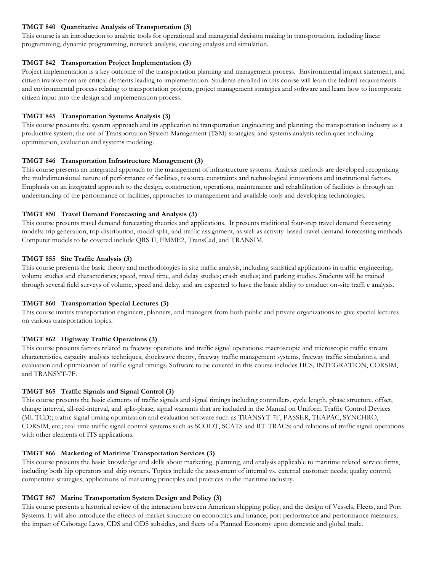# **TMGT 840 Quantitative Analysis of Transportation (3)**

This course is an introduction to analytic tools for operational and managerial decision making in transportation, including linear programming, dynamic programming, network analysis, queuing analysis and simulation.

# **TMGT 842 Transportation Project Implementation (3)**

Project implementation is a key outcome of the transportation planning and management process. Environmental impact statement, and citizen involvement are critical elements leading to implementation. Students enrolled in this course will learn the federal requirements and environmental process relating to transportation projects, project management strategies and software and learn how to incorporate citizen input into the design and implementation process.

# **TMGT 845 Transportation Systems Analysis (3)**

This course presents the system approach and its application to transportation engineering and planning; the transportation industry as a productive system; the use of Transportation System Management (TSM) strategies; and systems analysis techniques including optimization, evaluation and systems modeling.

# **TMGT 846 Transportation Infrastructure Management (3)**

This course presents an integrated approach to the management of infrastructure systems. Analysis methods are developed recognizing the multidimensional nature of performance of facilities, resource constraints and technological innovations and institutional factors. Emphasis on an integrated approach to the design, construction, operations, maintenance and rehabilitation of facilities is through an understanding of the performance of facilities, approaches to management and available tools and developing technologies.

# **TMGT 850 Travel Demand Forecasting and Analysis (3)**

This course presents travel demand forecasting theories and applications. It presents traditional four-step travel demand forecasting models: trip generation, trip distribution, modal split, and traffic assignment, as well as activity-based travel demand forecasting methods. Computer models to be covered include QRS II, EMME2, TransCad, and TRANSIM.

# **TMGT 855 Site Traffic Analysis (3)**

This course presents the basic theory and methodologies in site traffic analysis, including statistical applications in traffic engineering; volume studies and characteristics; speed, travel time, and delay studies; crash studies; and parking studies. Students will be trained through several field surveys of volume, speed and delay, and are expected to have the basic ability to conduct on-site traffi c analysis.

# **TMGT 860 Transportation Special Lectures (3)**

This course invites transportation engineers, planners, and managers from both public and private organizations to give special lectures on various transportation topics.

# **TMGT 862 Highway Traffic Operations (3)**

This course presents factors related to freeway operations and traffic signal operations: macroscopic and microscopic traffic stream characteristics, capacity analysis techniques, shockwave theory, freeway traffic management systems, freeway traffic simulations, and evaluation and optimization of traffic signal timings. Software to be covered in this course includes HCS, INTEGRATION, CORSIM, and TRANSYT-7F.

# **TMGT 865 Traffic Signals and Signal Control (3)**

This course presents the basic elements of traffic signals and signal timings including controllers, cycle length, phase structure, offset, change interval, all-red-interval, and split-phase; signal warrants that are included in the Manual on Uniform Traffic Control Devices (MUTCD); traffic signal timing optimization and evaluation software such as TRANSYT-7F, PASSER, TEAPAC, SYNCHRO, CORSIM, etc.; real-time traffic signal control systems such as SCOOT, SCATS and RT-TRACS; and relations of traffic signal operations with other elements of ITS applications.

# **TMGT 866 Marketing of Maritime Transportation Services (3)**

This course presents the basic knowledge and skills about marketing, planning, and analysis applicable to maritime related service firms, including both hip operators and ship owners. Topics include the assessment of internal vs. external customer needs; quality control; competitive strategies; applications of marketing principles and practices to the maritime industry.

# **TMGT 867 Marine Transportation System Design and Policy (3)**

This course presents a historical review of the interaction between American shipping policy, and the design of Vessels, Fleets, and Port Systems. It will also introduce the effects of market structure on economics and finance; port performance and performance measures; the impact of Cabotage Laws, CDS and ODS subsidies, and fleets of a Planned Economy upon domestic and global trade.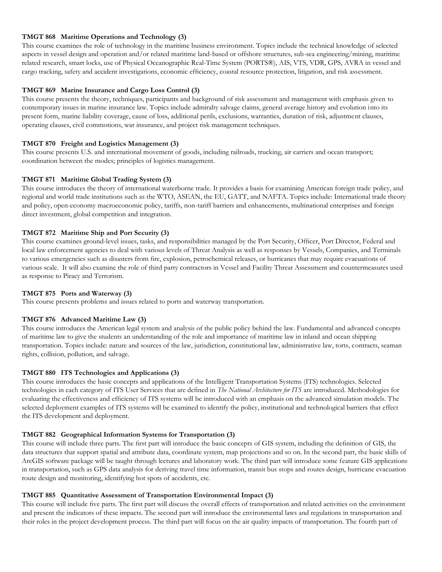# **TMGT 868 Maritime Operations and Technology (3)**

This course examines the role of technology in the maritime business environment. Topics include the technical knowledge of selected aspects in vessel design and operation and/or related maritime land-based or offshore structures, sub-sea engineering/mining, maritime related research, smart locks, use of Physical Oceanographic Real-Time System (PORTS®), AIS, VTS, VDR, GPS, AVRA in vessel and cargo tracking, safety and accident investigations, economic efficiency, coastal resource protection, litigation, and risk assessment.

# **TMGT 869 Marine Insurance and Cargo Loss Control (3)**

This course presents the theory, techniques, participants and background of risk assessment and management with emphasis given to contemporary issues in marine insurance law. Topics include admiralty salvage claims, general average history and evolution into its present form, marine liability coverage, cause of loss, additional perils, exclusions, warranties, duration of risk, adjustment clauses, operating clauses, civil commotions, war insurance, and project risk management techniques.

# **TMGT 870 Freight and Logistics Management (3)**

This course presents U.S. and international movement of goods, including railroads, trucking, air carriers and ocean transport; coordination between the modes; principles of logistics management.

# **TMGT 871 Maritime Global Trading System (3)**

This course introduces the theory of international waterborne trade. It provides a basis for examining American foreign trade policy, and regional and world trade institutions such as the WTO, ASEAN, the EU, GATT, and NAFTA. Topics include: International trade theory and policy, open-economy macroeconomic policy, tariffs, non-tariff barriers and enhancements, multinational enterprises and foreign direct investment, global competition and integration.

# **TMGT 872 Maritime Ship and Port Security (3)**

This course examines ground-level issues, tasks, and responsibilities managed by the Port Security, Officer, Port Director, Federal and local law enforcement agencies to deal with various levels of Threat Analysis as well as responses by Vessels, Companies, and Terminals to various emergencies such as disasters from fire, explosion, petrochemical releases, or hurricanes that may require evacuations of various scale. It will also examine the role of third party contractors in Vessel and Facility Threat Assessment and countermeasures used as response to Piracy and Terrorism.

# **TMGT 875 Ports and Waterway (3)**

This course presents problems and issues related to ports and waterway transportation.

# **TMGT 876 Advanced Maritime Law (3)**

This course introduces the American legal system and analysis of the public policy behind the law. Fundamental and advanced concepts of maritime law to give the students an understanding of the role and importance of maritime law in inland and ocean shipping transportation. Topics include: nature and sources of the law, jurisdiction, constitutional law, administrative law, torts, contracts, seaman rights, collision, pollution, and salvage.

# **TMGT 880 ITS Technologies and Applications (3)**

This course introduces the basic concepts and applications of the Intelligent Transportation Systems (ITS) technologies. Selected technologies in each category of ITS User Services that are defined in *The National Architecture for ITS* are introduced. Methodologies for evaluating the effectiveness and efficiency of ITS systems will be introduced with an emphasis on the advanced simulation models. The selected deployment examples of ITS systems will be examined to identify the policy, institutional and technological barriers that effect the ITS development and deployment.

# **TMGT 882 Geographical Information Systems for Transportation (3)**

This course will include three parts. The first part will introduce the basic concepts of GIS system, including the definition of GIS, the data structures that support spatial and attribute data, coordinate system, map projections and so on. In the second part, the basic skills of ArcGIS software package will be taught through lectures and laboratory work. The third part will introduce some feature GIS applications in transportation, such as GPS data analysis for deriving travel time information, transit bus stops and routes design, hurricane evacuation route design and monitoring, identifying hot spots of accidents, etc.

# **TMGT 885 Quantitative Assessment of Transportation Environmental Impact (3)**

This course will include five parts. The first part will discuss the overall effects of transportation and related activities on the environment and present the indicators of these impacts. The second part will introduce the environmental laws and regulations in transportation and their roles in the project development process. The third part will focus on the air quality impacts of transportation. The fourth part of